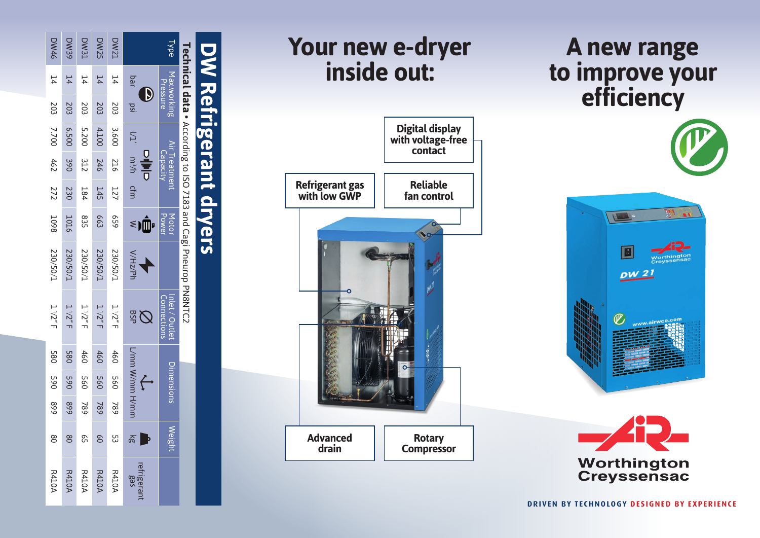| <b>DW46</b>     | <b>DW39</b>     | <b>DW31</b> | <b>DW25</b>     | <b>DW21</b>  | Type                                   |                               |                                                                 |                              |  |
|-----------------|-----------------|-------------|-----------------|--------------|----------------------------------------|-------------------------------|-----------------------------------------------------------------|------------------------------|--|
| $\overline{14}$ | 14              | 14          | $\overline{14}$ | 14           | bar                                    | Max.working<br>Pressure       |                                                                 |                              |  |
| 203             | 203             | 203         | 203             | 203          | $\mathbf{D}$<br>isq                    |                               |                                                                 |                              |  |
| 7.700           | 6.500           | 5.200       | 4.100           | 3.600        |                                        |                               |                                                                 |                              |  |
| 462             | 390             | 312         | 246             | 216          | $VI'$ m <sup>3</sup> /h cfm<br>이하다     | Air Treatment<br>Capacity     | Technical data • According to ISO 7183 and Cagi Pheurop PN8NTC2 | <b>DW Refrigerant dryers</b> |  |
| 272             | 230             | <b>184</b>  | 145             | 127          |                                        |                               |                                                                 |                              |  |
| <b>1098</b>     | 1016            | 835         | <b>663</b>      | 659          | ۰Ŵ<br>$\leq$                           | Motor<br>Power                |                                                                 |                              |  |
| I/05/087        | <b>Z30/50/1</b> | 230/50/1    | <b>Z30/50/1</b> | 230/50/1     | NHz/Ph                                 |                               |                                                                 |                              |  |
| $1/2''$ F       | $1/2''$ F       | 1/2''F      | 1/2''F          | 1/2"F        | <b>BSP</b><br>$\overline{\mathcal{Q}}$ | Inlet / Outlet<br>Connections |                                                                 |                              |  |
| <b>580</b>      | <b>580</b>      | 460         | 460             | 460          | L/mm W/mm H/mm                         | Dimensions                    |                                                                 |                              |  |
| <b>D65</b>      | 065             | 560         | 560             | 560          |                                        |                               |                                                                 |                              |  |
| 668             | 668             | 789         | 987             | 987          |                                        |                               |                                                                 |                              |  |
| 8               | 8               | 95          | SO              | င္ယာ         | $\overline{\mathbb{R}}$                | Weight                        |                                                                 |                              |  |
| <b>R410A</b>    | <b>R410A</b>    | R410A       | <b>R410A</b>    | <b>R410A</b> | refrigerant<br>gas                     |                               |                                                                 |                              |  |

## **Your new e-dryer inside out:**



## **A new range to improve your efficiency**